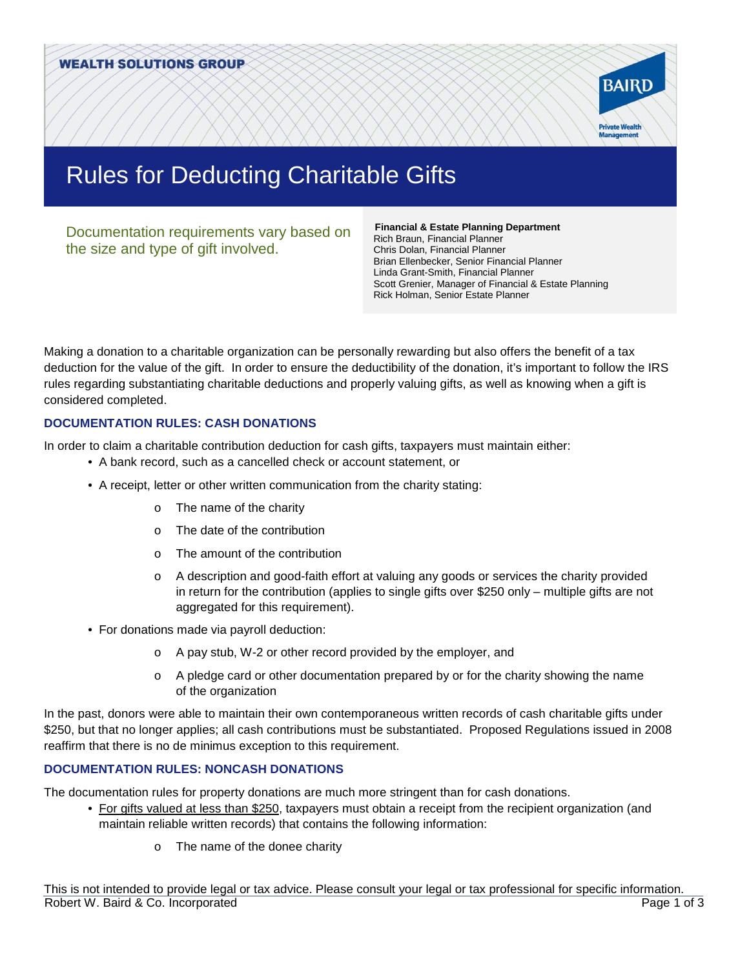

# Rules for Deducting Charitable Gifts

Documentation requirements vary based on the size and type of gift involved.

 **Financial & Estate Planning Department**  Rich Braun, Financial Planner Chris Dolan, Financial Planner Brian Ellenbecker, Senior Financial Planner Linda Grant-Smith, Financial Planner Scott Grenier, Manager of Financial & Estate Planning Rick Holman, Senior Estate Planner

Making a donation to a charitable organization can be personally rewarding but also offers the benefit of a tax deduction for the value of the gift. In order to ensure the deductibility of the donation, it's important to follow the IRS rules regarding substantiating charitable deductions and properly valuing gifts, as well as knowing when a gift is considered completed.

## **DOCUMENTATION RULES: CASH DONATIONS**

In order to claim a charitable contribution deduction for cash gifts, taxpayers must maintain either:

- A bank record, such as a cancelled check or account statement, or
- A receipt, letter or other written communication from the charity stating:
	- o The name of the charity
	- o The date of the contribution
	- o The amount of the contribution
	- o A description and good-faith effort at valuing any goods or services the charity provided in return for the contribution (applies to single gifts over \$250 only – multiple gifts are not aggregated for this requirement).
- For donations made via payroll deduction:
	- o A pay stub, W-2 or other record provided by the employer, and
	- $\circ$  A pledge card or other documentation prepared by or for the charity showing the name of the organization

In the past, donors were able to maintain their own contemporaneous written records of cash charitable gifts under \$250, but that no longer applies; all cash contributions must be substantiated. Proposed Regulations issued in 2008 reaffirm that there is no de minimus exception to this requirement.

### **DOCUMENTATION RULES: NONCASH DONATIONS**

The documentation rules for property donations are much more stringent than for cash donations.

- For gifts valued at less than \$250, taxpayers must obtain a receipt from the recipient organization (and maintain reliable written records) that contains the following information:
	- o The name of the donee charity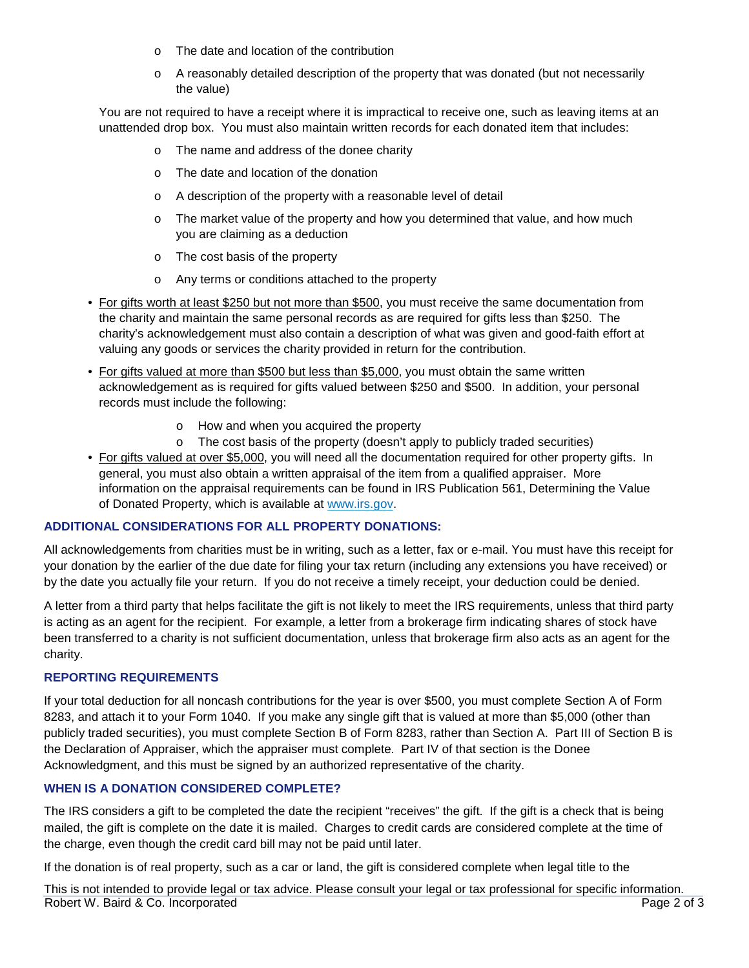- o The date and location of the contribution
- o A reasonably detailed description of the property that was donated (but not necessarily the value)

You are not required to have a receipt where it is impractical to receive one, such as leaving items at an unattended drop box. You must also maintain written records for each donated item that includes:

- o The name and address of the donee charity
- o The date and location of the donation
- o A description of the property with a reasonable level of detail
- $\circ$  The market value of the property and how you determined that value, and how much you are claiming as a deduction
- o The cost basis of the property
- o Any terms or conditions attached to the property
- For gifts worth at least \$250 but not more than \$500, you must receive the same documentation from the charity and maintain the same personal records as are required for gifts less than \$250. The charity's acknowledgement must also contain a description of what was given and good-faith effort at valuing any goods or services the charity provided in return for the contribution.
- For gifts valued at more than \$500 but less than \$5,000, you must obtain the same written acknowledgement as is required for gifts valued between \$250 and \$500. In addition, your personal records must include the following:
	- o How and when you acquired the property
	- o The cost basis of the property (doesn't apply to publicly traded securities)
- For gifts valued at over \$5,000, you will need all the documentation required for other property gifts. In general, you must also obtain a written appraisal of the item from a qualified appraiser. More information on the appraisal requirements can be found in IRS Publication 561, Determining the Value of Donated Property, which is available at [www.irs.gov.](http://www.irs.gov/)

### **ADDITIONAL CONSIDERATIONS FOR ALL PROPERTY DONATIONS:**

All acknowledgements from charities must be in writing, such as a letter, fax or e-mail. You must have this receipt for your donation by the earlier of the due date for filing your tax return (including any extensions you have received) or by the date you actually file your return. If you do not receive a timely receipt, your deduction could be denied.

A letter from a third party that helps facilitate the gift is not likely to meet the IRS requirements, unless that third party is acting as an agent for the recipient. For example, a letter from a brokerage firm indicating shares of stock have been transferred to a charity is not sufficient documentation, unless that brokerage firm also acts as an agent for the charity.

### **REPORTING REQUIREMENTS**

If your total deduction for all noncash contributions for the year is over \$500, you must complete Section A of Form 8283, and attach it to your Form 1040. If you make any single gift that is valued at more than \$5,000 (other than publicly traded securities), you must complete Section B of Form 8283, rather than Section A. Part III of Section B is the Declaration of Appraiser, which the appraiser must complete. Part IV of that section is the Donee Acknowledgment, and this must be signed by an authorized representative of the charity.

### **WHEN IS A DONATION CONSIDERED COMPLETE?**

The IRS considers a gift to be completed the date the recipient "receives" the gift. If the gift is a check that is being mailed, the gift is complete on the date it is mailed. Charges to credit cards are considered complete at the time of the charge, even though the credit card bill may not be paid until later.

If the donation is of real property, such as a car or land, the gift is considered complete when legal title to the

This is not intended to provide legal or tax advice. Please consult your legal or tax professional for specific information. Robert W. Baird & Co. Incorporated **Page 2 of 3**